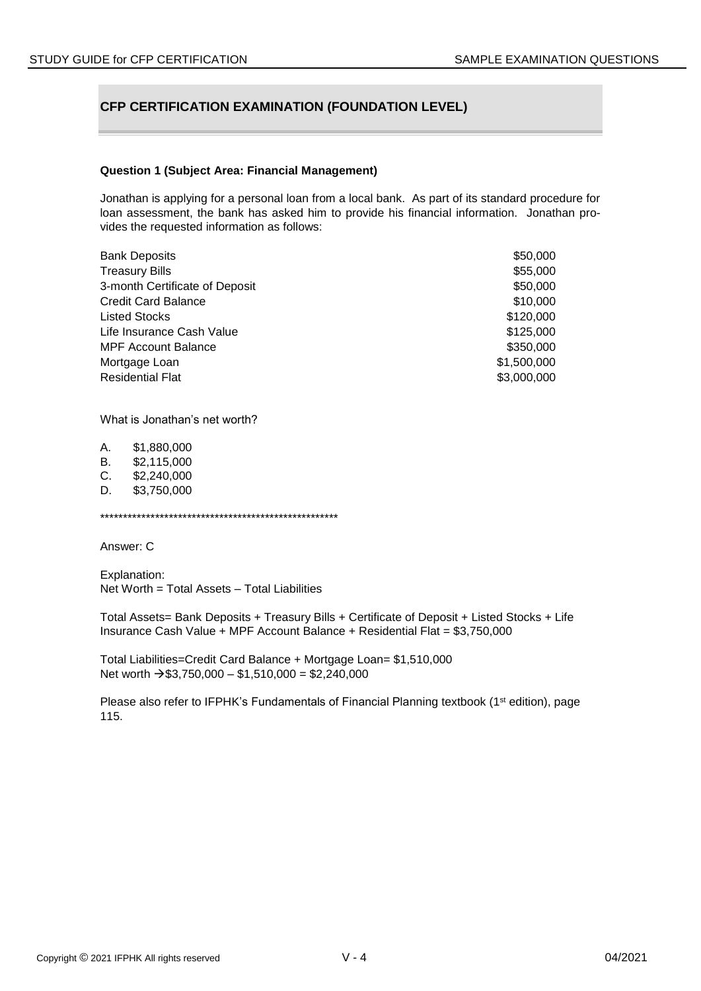# **CFP CERTIFICATION EXAMINATION (FOUNDATION LEVEL)**

#### **Question 1 (Subject Area: Financial Management)**

Jonathan is applying for a personal loan from a local bank. As part of its standard procedure for loan assessment, the bank has asked him to provide his financial information. Jonathan provides the requested information as follows:

| <b>Bank Deposits</b>           | \$50,000    |
|--------------------------------|-------------|
| <b>Treasury Bills</b>          | \$55,000    |
| 3-month Certificate of Deposit | \$50,000    |
| <b>Credit Card Balance</b>     | \$10,000    |
| <b>Listed Stocks</b>           | \$120,000   |
| Life Insurance Cash Value      | \$125,000   |
| <b>MPF Account Balance</b>     | \$350,000   |
| Mortgage Loan                  | \$1,500,000 |
| <b>Residential Flat</b>        | \$3,000,000 |

What is Jonathan's net worth?

| Α. | \$1,880,000 |
|----|-------------|
| В. | \$2,115,000 |
| C. | \$2,240,000 |
| D. | \$3,750,000 |
|    |             |

\*\*\*\*\*\*\*\*\*\*\*\*\*\*\*\*\*\*\*\*\*\*\*\*\*\*\*\*\*\*\*\*\*\*\*\*\*\*\*\*\*\*\*\*\*\*\*\*\*\*\*\*

Answer: C

Explanation: Net Worth = Total Assets – Total Liabilities

Total Assets= Bank Deposits + Treasury Bills + Certificate of Deposit + Listed Stocks + Life Insurance Cash Value + MPF Account Balance + Residential Flat = \$3,750,000

Total Liabilities=Credit Card Balance + Mortgage Loan= \$1,510,000 Net worth  $\rightarrow$  \$3,750,000 – \$1,510,000 = \$2,240,000

Please also refer to IFPHK's Fundamentals of Financial Planning textbook (1<sup>st</sup> edition), page 115.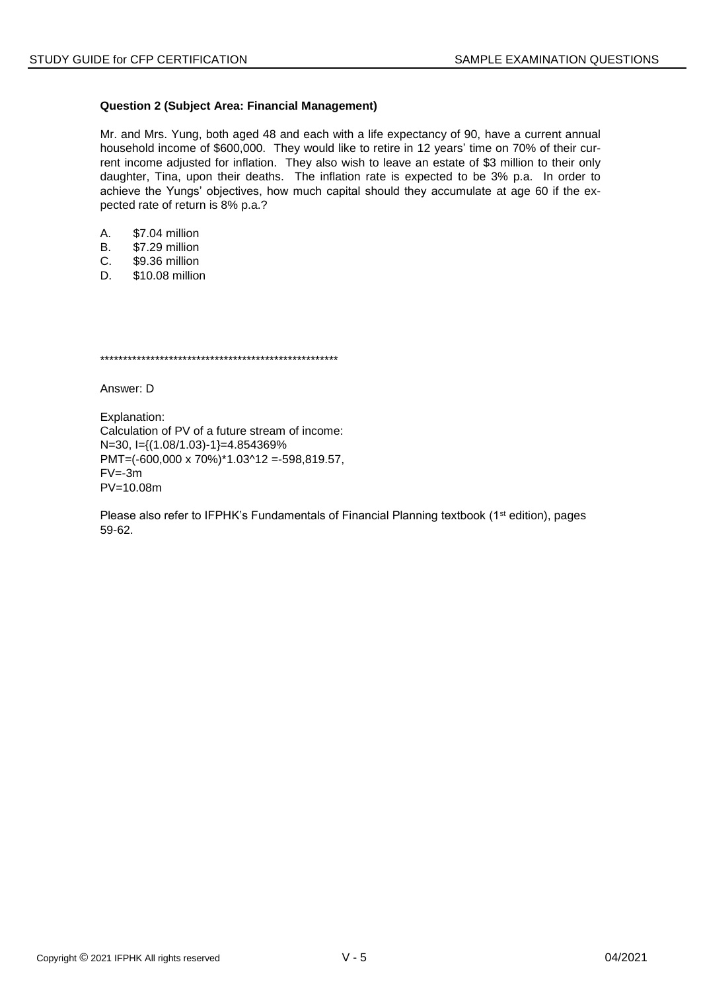# **Question 2 (Subject Area: Financial Management)**

Mr. and Mrs. Yung, both aged 48 and each with a life expectancy of 90, have a current annual household income of \$600,000. They would like to retire in 12 years' time on 70% of their current income adjusted for inflation. They also wish to leave an estate of \$3 million to their only daughter, Tina, upon their deaths. The inflation rate is expected to be 3% p.a. In order to achieve the Yungs' objectives, how much capital should they accumulate at age 60 if the expected rate of return is 8% p.a.?

- A. \$7.04 million
- B. \$7.29 million
- C. \$9.36 million
- D. \$10.08 million

\*\*\*\*\*\*\*\*\*\*\*\*\*\*\*\*\*\*\*\*\*\*\*\*\*\*\*\*\*\*\*\*\*\*\*\*\*\*\*\*\*\*\*\*\*\*\*\*\*\*\*\*

Answer: D

Explanation: Calculation of PV of a future stream of income: N=30, I={(1.08/1.03)-1}=4.854369% PMT=(-600,000 x 70%)\*1.03^12 =-598,819.57,  $FV = -3m$ PV=10.08m

Please also refer to IFPHK's Fundamentals of Financial Planning textbook (1<sup>st</sup> edition), pages 59-62.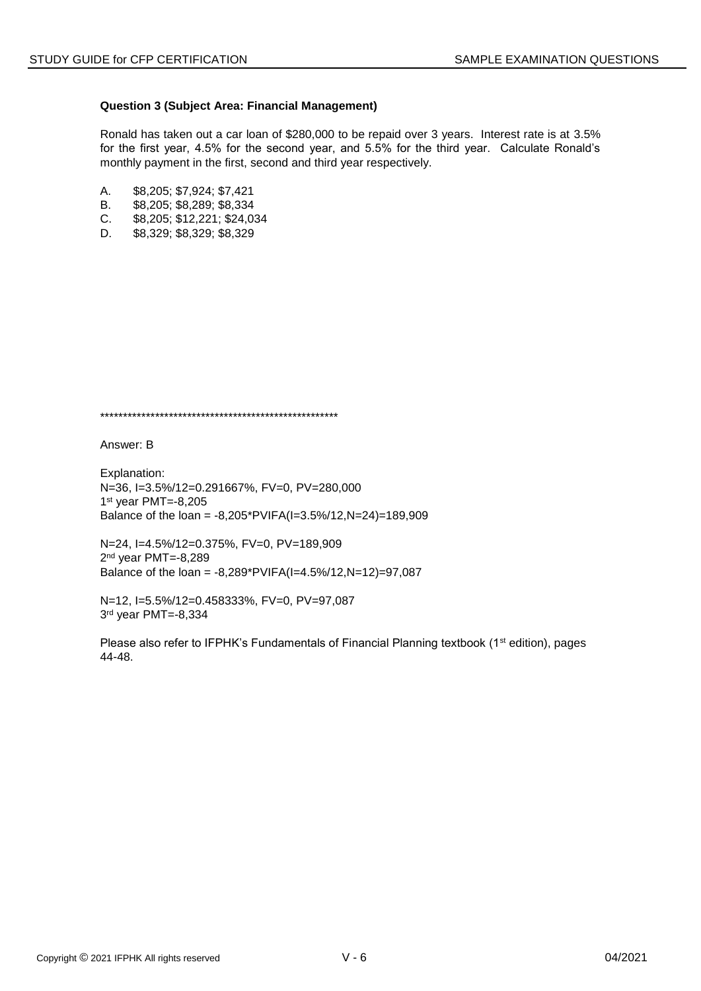# **Question 3 (Subject Area: Financial Management)**

Ronald has taken out a car loan of \$280,000 to be repaid over 3 years. Interest rate is at 3.5% for the first year, 4.5% for the second year, and 5.5% for the third year. Calculate Ronald's monthly payment in the first, second and third year respectively.

- A. \$8,205; \$7,924; \$7,421
- B. \$8,205; \$8,289; \$8,334
- C. \$8,205; \$12,221; \$24,034
- D. \$8,329; \$8,329; \$8,329

\*\*\*\*\*\*\*\*\*\*\*\*\*\*\*\*\*\*\*\*\*\*\*\*\*\*\*\*\*\*\*\*\*\*\*\*\*\*\*\*\*\*\*\*\*\*\*\*\*\*\*\*

Answer: B

Explanation: N=36, I=3.5%/12=0.291667%, FV=0, PV=280,000 1 st year PMT=-8,205 Balance of the loan = -8,205\*PVIFA(I=3.5%/12,N=24)=189,909

N=24, I=4.5%/12=0.375%, FV=0, PV=189,909 2 nd year PMT=-8,289 Balance of the loan = -8,289\*PVIFA(I=4.5%/12,N=12)=97,087

N=12, I=5.5%/12=0.458333%, FV=0, PV=97,087 3 rd year PMT=-8,334

Please also refer to IFPHK's Fundamentals of Financial Planning textbook (1<sup>st</sup> edition), pages 44-48.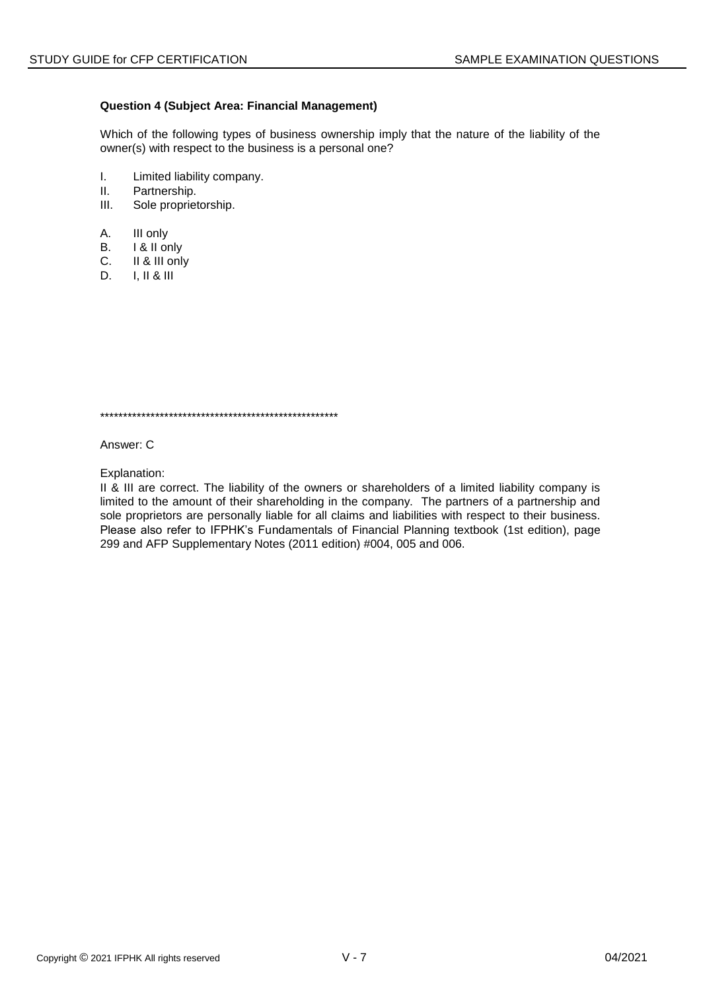# **Question 4 (Subject Area: Financial Management)**

Which of the following types of business ownership imply that the nature of the liability of the owner(s) with respect to the business is a personal one?

- I. Limited liability company.
- II. Partnership.
- III. Sole proprietorship.
- A. III only
- B. **I & II only**
- C. II & III only
- D. I, II & III

\*\*\*\*\*\*\*\*\*\*\*\*\*\*\*\*\*\*\*\*\*\*\*\*\*\*\*\*\*\*\*\*\*\*\*\*\*\*\*\*\*\*\*\*\*\*\*\*\*\*\*\*

Answer: C

Explanation:

II & III are correct. The liability of the owners or shareholders of a limited liability company is limited to the amount of their shareholding in the company. The partners of a partnership and sole proprietors are personally liable for all claims and liabilities with respect to their business. Please also refer to IFPHK's Fundamentals of Financial Planning textbook (1st edition), page 299 and AFP Supplementary Notes (2011 edition) #004, 005 and 006.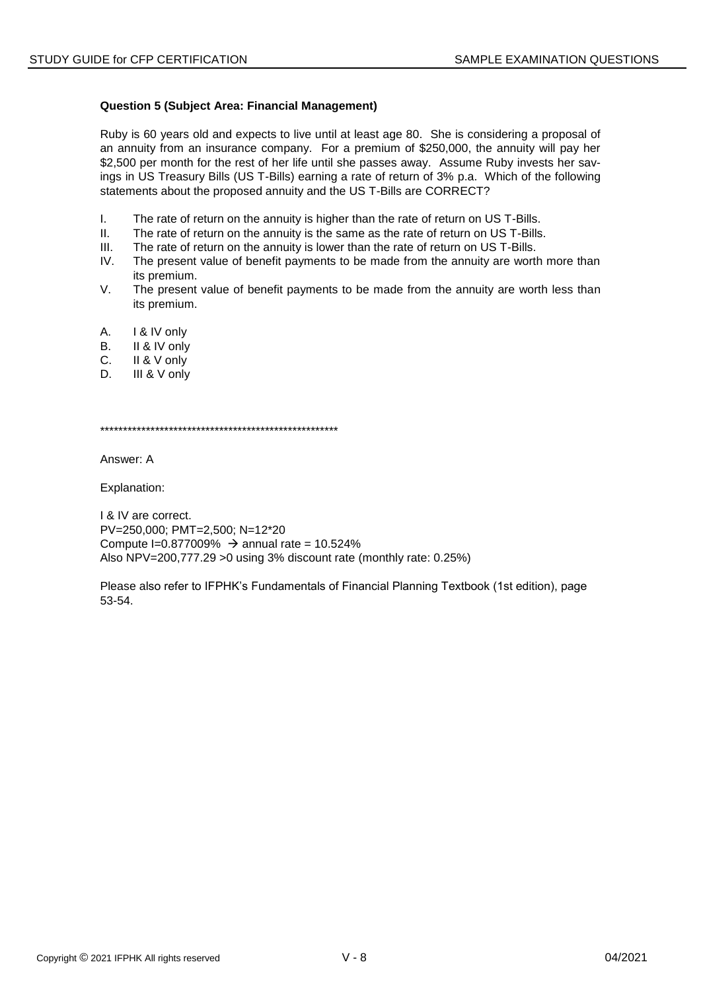# **Question 5 (Subject Area: Financial Management)**

Ruby is 60 years old and expects to live until at least age 80. She is considering a proposal of an annuity from an insurance company. For a premium of \$250,000, the annuity will pay her \$2,500 per month for the rest of her life until she passes away. Assume Ruby invests her savings in US Treasury Bills (US T-Bills) earning a rate of return of 3% p.a. Which of the following statements about the proposed annuity and the US T-Bills are CORRECT?

- I. The rate of return on the annuity is higher than the rate of return on US T-Bills.
- II. The rate of return on the annuity is the same as the rate of return on US T-Bills.
- III. The rate of return on the annuity is lower than the rate of return on US T-Bills.
- IV. The present value of benefit payments to be made from the annuity are worth more than its premium.
- V. The present value of benefit payments to be made from the annuity are worth less than its premium.
- A. I & IV only
- B. II & IV only
- C. II & V only
- D. **III & V** only

\*\*\*\*\*\*\*\*\*\*\*\*\*\*\*\*\*\*\*\*\*\*\*\*\*\*\*\*\*\*\*\*\*\*\*\*\*\*\*\*\*\*\*\*\*\*\*\*\*\*\*\*

Answer: A

Explanation:

I & IV are correct. PV=250,000; PMT=2,500; N=12\*20 Compute I=0.877009%  $\rightarrow$  annual rate = 10.524% Also NPV=200,777.29 >0 using 3% discount rate (monthly rate: 0.25%)

Please also refer to IFPHK's Fundamentals of Financial Planning Textbook (1st edition), page 53-54.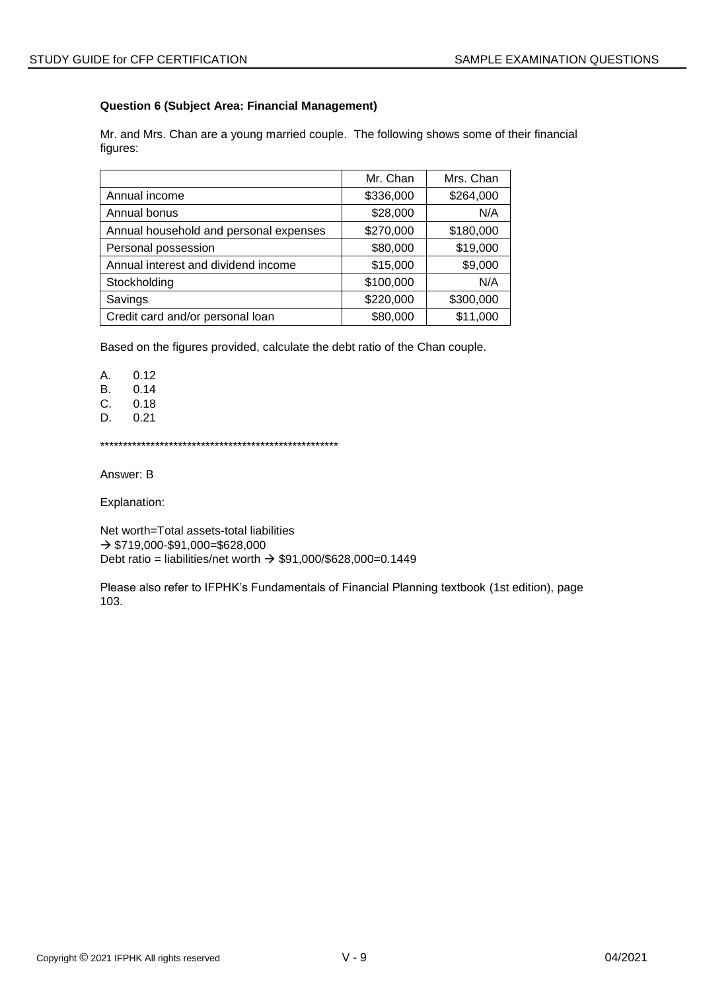# **Question 6 (Subject Area: Financial Management)**

Mr. and Mrs. Chan are a young married couple. The following shows some of their financial figures:

|                                        | Mr. Chan  | Mrs. Chan |
|----------------------------------------|-----------|-----------|
| Annual income                          | \$336,000 | \$264,000 |
| Annual bonus                           | \$28,000  | N/A       |
| Annual household and personal expenses | \$270,000 | \$180,000 |
| Personal possession                    | \$80,000  | \$19,000  |
| Annual interest and dividend income    | \$15,000  | \$9,000   |
| Stockholding                           | \$100,000 | N/A       |
| Savings                                | \$220,000 | \$300,000 |
| Credit card and/or personal loan       | \$80,000  | \$11,000  |

Based on the figures provided, calculate the debt ratio of the Chan couple.

A. 0.12

B. 0.14

C. 0.18<br>D. 0.21

0.21

\*\*\*\*\*\*\*\*\*\*\*\*\*\*\*\*\*\*\*\*\*\*\*\*\*\*\*\*\*\*\*\*\*\*\*\*\*\*\*\*\*\*\*\*\*\*\*\*\*\*\*\*

Answer: B

Explanation:

Net worth=Total assets-total liabilities  $\rightarrow$  \$719,000-\$91,000=\$628,000 Debt ratio = liabilities/net worth  $\rightarrow$  \$91,000/\$628,000=0.1449

Please also refer to IFPHK's Fundamentals of Financial Planning textbook (1st edition), page 103.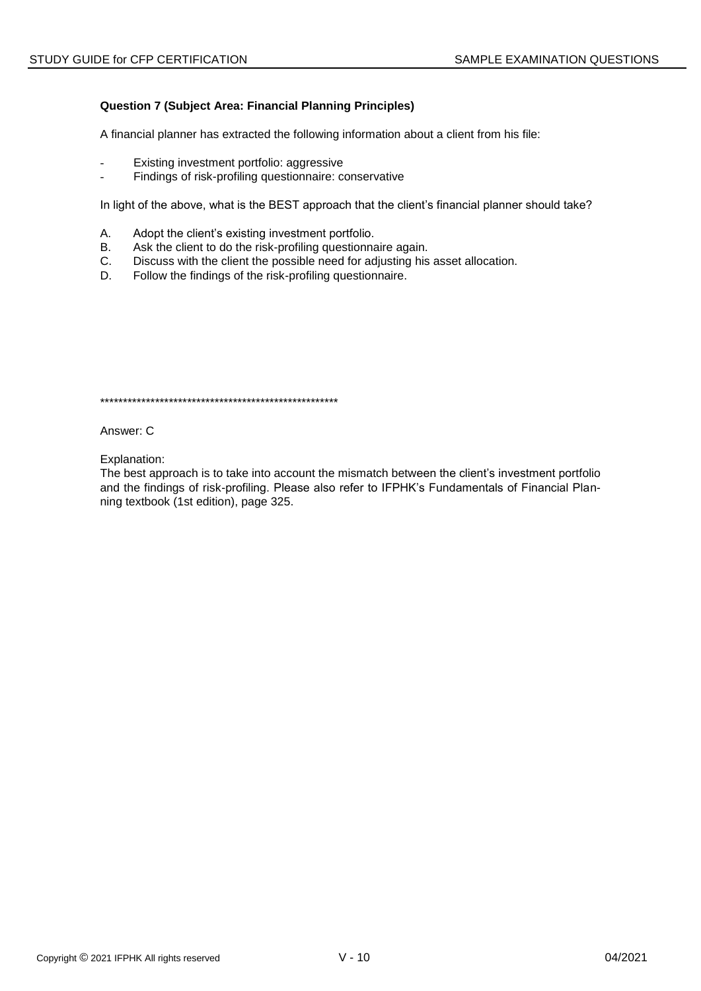# **Question 7 (Subject Area: Financial Planning Principles)**

A financial planner has extracted the following information about a client from his file:

- Existing investment portfolio: aggressive
- Findings of risk-profiling questionnaire: conservative

In light of the above, what is the BEST approach that the client's financial planner should take?

- А. Adopt the client's existing investment portfolio.
- Ask the client to do the risk-profiling questionnaire again. **B.**
- $C_{1}$ Discuss with the client the possible need for adjusting his asset allocation.
- D. Follow the findings of the risk-profiling questionnaire.

Answer: C

Explanation:

The best approach is to take into account the mismatch between the client's investment portfolio and the findings of risk-profiling. Please also refer to IFPHK's Fundamentals of Financial Planning textbook (1st edition), page 325.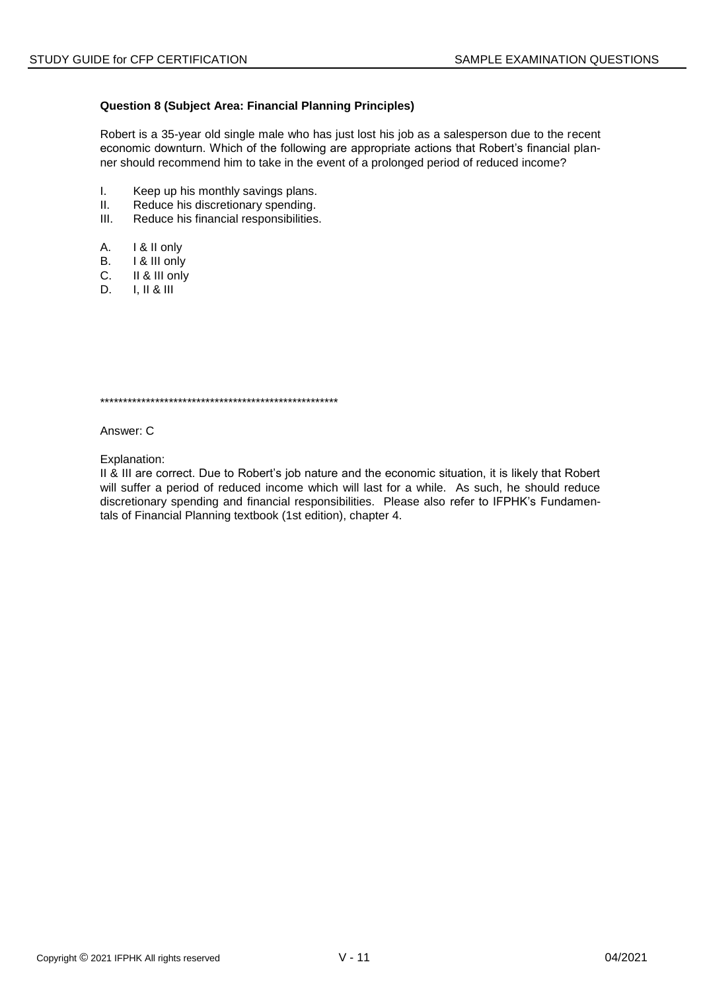# **Question 8 (Subject Area: Financial Planning Principles)**

Robert is a 35-year old single male who has just lost his job as a salesperson due to the recent economic downturn. Which of the following are appropriate actions that Robert's financial planner should recommend him to take in the event of a prolonged period of reduced income?

- $\mathbf{L}$ Keep up his monthly savings plans.
- $II.$ Reduce his discretionary spending.
- Reduce his financial responsibilities.  $III.$
- А. I & II only
- **B.** I & III only
- $C_{1}$ II & III only
- $I, II & II$ D.

Answer: C

Explanation:

II & III are correct. Due to Robert's job nature and the economic situation, it is likely that Robert will suffer a period of reduced income which will last for a while. As such, he should reduce discretionary spending and financial responsibilities. Please also refer to IFPHK's Fundamentals of Financial Planning textbook (1st edition), chapter 4.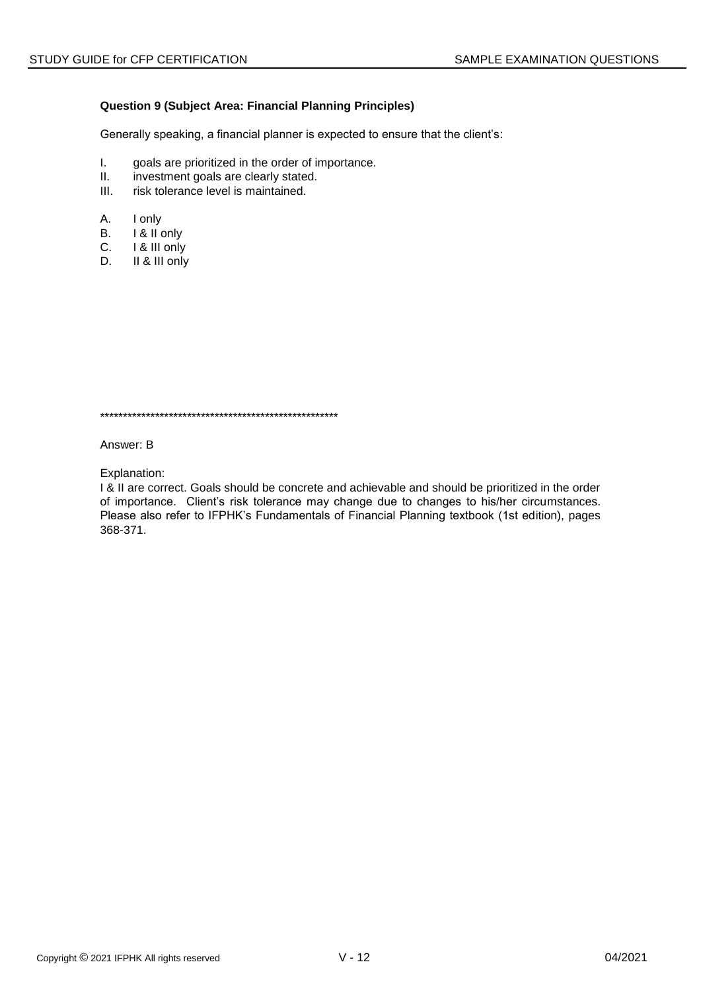# **Question 9 (Subject Area: Financial Planning Principles)**

Generally speaking, a financial planner is expected to ensure that the client's:

- I. goals are prioritized in the order of importance.<br>II. investment goals are clearly stated.
- investment goals are clearly stated.
- III. risk tolerance level is maintained.
- A. I only
- B. I & II only
- C. I & III only
- D. II & III only

\*\*\*\*\*\*\*\*\*\*\*\*\*\*\*\*\*\*\*\*\*\*\*\*\*\*\*\*\*\*\*\*\*\*\*\*\*\*\*\*\*\*\*\*\*\*\*\*\*\*\*\*

Answer: B

Explanation:

I & II are correct. Goals should be concrete and achievable and should be prioritized in the order of importance. Client's risk tolerance may change due to changes to his/her circumstances. Please also refer to IFPHK's Fundamentals of Financial Planning textbook (1st edition), pages 368-371.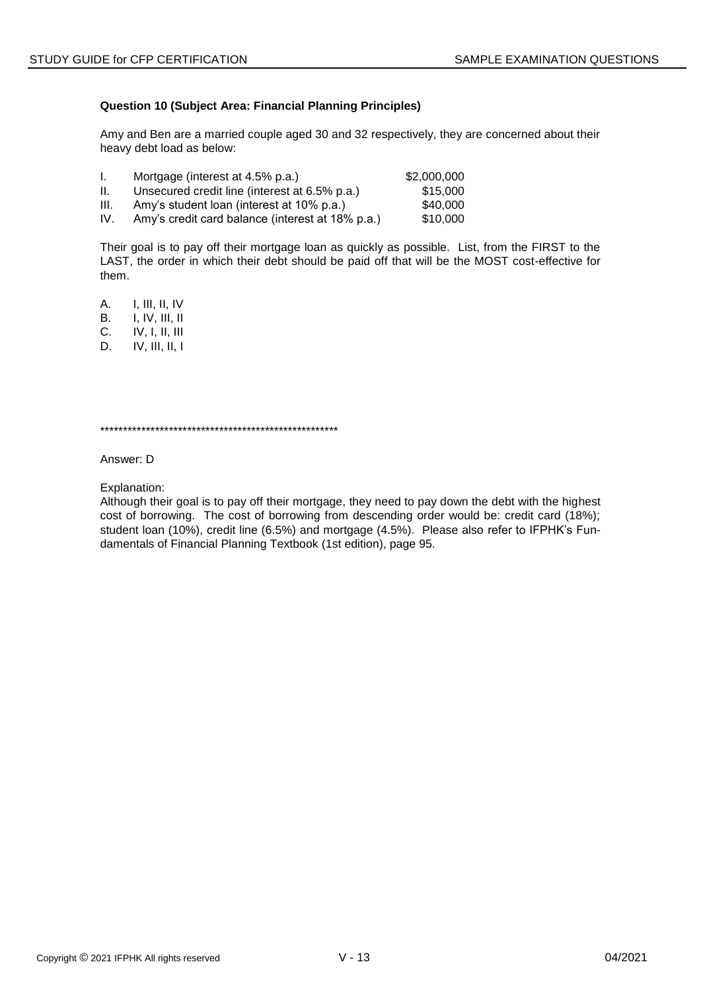# **Question 10 (Subject Area: Financial Planning Principles)**

Amy and Ben are a married couple aged 30 and 32 respectively, they are concerned about their heavy debt load as below:

| Ι.   | Mortgage (interest at 4.5% p.a.)                 | \$2,000,000 |
|------|--------------------------------------------------|-------------|
| H.   | Unsecured credit line (interest at 6.5% p.a.)    | \$15,000    |
| III. | Amy's student loan (interest at 10% p.a.)        | \$40,000    |
| IV.  | Amy's credit card balance (interest at 18% p.a.) | \$10,000    |

Their goal is to pay off their mortgage loan as quickly as possible. List, from the FIRST to the LAST, the order in which their debt should be paid off that will be the MOST cost-effective for them.

A. I, III, II, IV B. I, IV, III, II C. IV, I, II, III D. IV, III, II, I

\*\*\*\*\*\*\*\*\*\*\*\*\*\*\*\*\*\*\*\*\*\*\*\*\*\*\*\*\*\*\*\*\*\*\*\*\*\*\*\*\*\*\*\*\*\*\*\*\*\*\*\*

Answer: D

Explanation:

Although their goal is to pay off their mortgage, they need to pay down the debt with the highest cost of borrowing. The cost of borrowing from descending order would be: credit card (18%); student loan (10%), credit line (6.5%) and mortgage (4.5%). Please also refer to IFPHK's Fundamentals of Financial Planning Textbook (1st edition), page 95.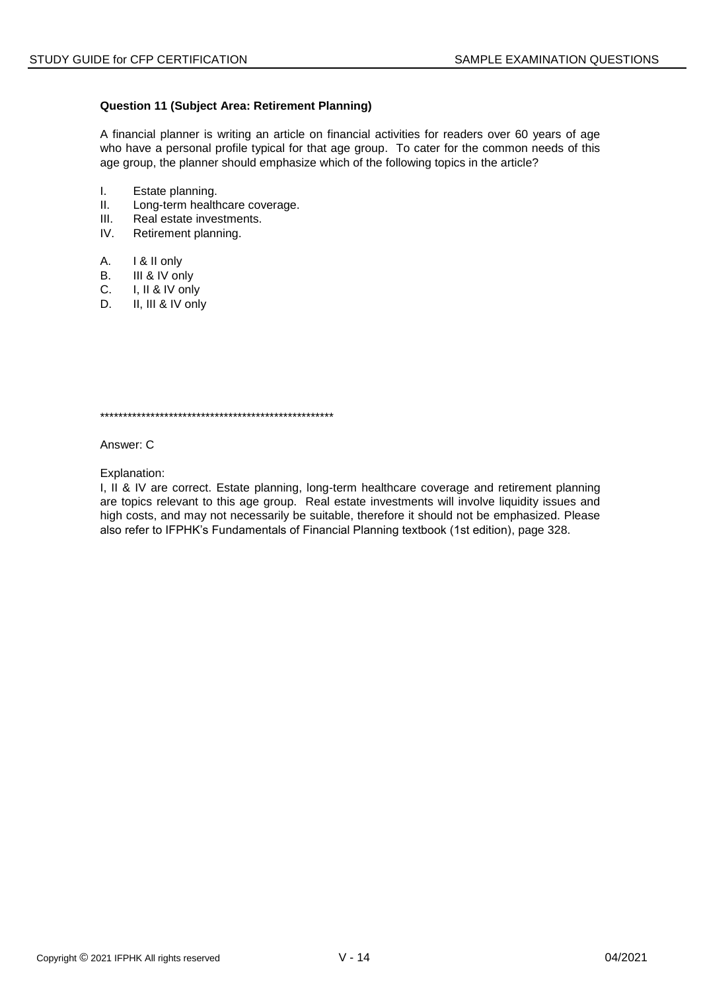# **Question 11 (Subject Area: Retirement Planning)**

A financial planner is writing an article on financial activities for readers over 60 years of age who have a personal profile typical for that age group. To cater for the common needs of this age group, the planner should emphasize which of the following topics in the article?

- I. Estate planning.
- II. Long-term healthcare coverage.
- III. Real estate investments.
- IV. Retirement planning.
- A. I & II only
- B. III & IV only
- C. I, II & IV only
- D. II, III & IV only

\*\*\*\*\*\*\*\*\*\*\*\*\*\*\*\*\*\*\*\*\*\*\*\*\*\*\*\*\*\*\*\*\*\*\*\*\*\*\*\*\*\*\*\*\*\*\*\*\*\*\*

Answer: C

Explanation:

I, II & IV are correct. Estate planning, long-term healthcare coverage and retirement planning are topics relevant to this age group. Real estate investments will involve liquidity issues and high costs, and may not necessarily be suitable, therefore it should not be emphasized. Please also refer to IFPHK's Fundamentals of Financial Planning textbook (1st edition), page 328.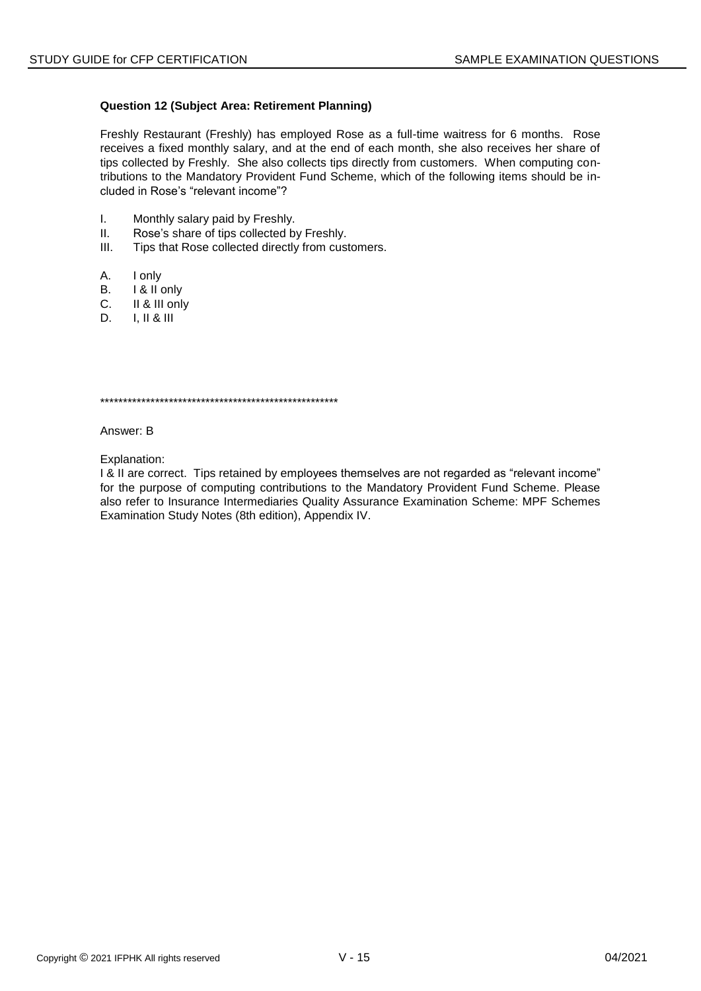# **Question 12 (Subject Area: Retirement Planning)**

Freshly Restaurant (Freshly) has employed Rose as a full-time waitress for 6 months. Rose receives a fixed monthly salary, and at the end of each month, she also receives her share of tips collected by Freshly. She also collects tips directly from customers. When computing contributions to the Mandatory Provident Fund Scheme, which of the following items should be included in Rose's "relevant income"?

- $\mathbf{L}$ Monthly salary paid by Freshly.
- $II.$ Rose's share of tips collected by Freshly.
- $III.$ Tips that Rose collected directly from customers.
- А. I only
- I & II only В.
- II & III only C.
- D.  $I. II & III$

Answer: B

Explanation:

I & II are correct. Tips retained by employees themselves are not regarded as "relevant income" for the purpose of computing contributions to the Mandatory Provident Fund Scheme. Please also refer to Insurance Intermediaries Quality Assurance Examination Scheme: MPF Schemes Examination Study Notes (8th edition), Appendix IV.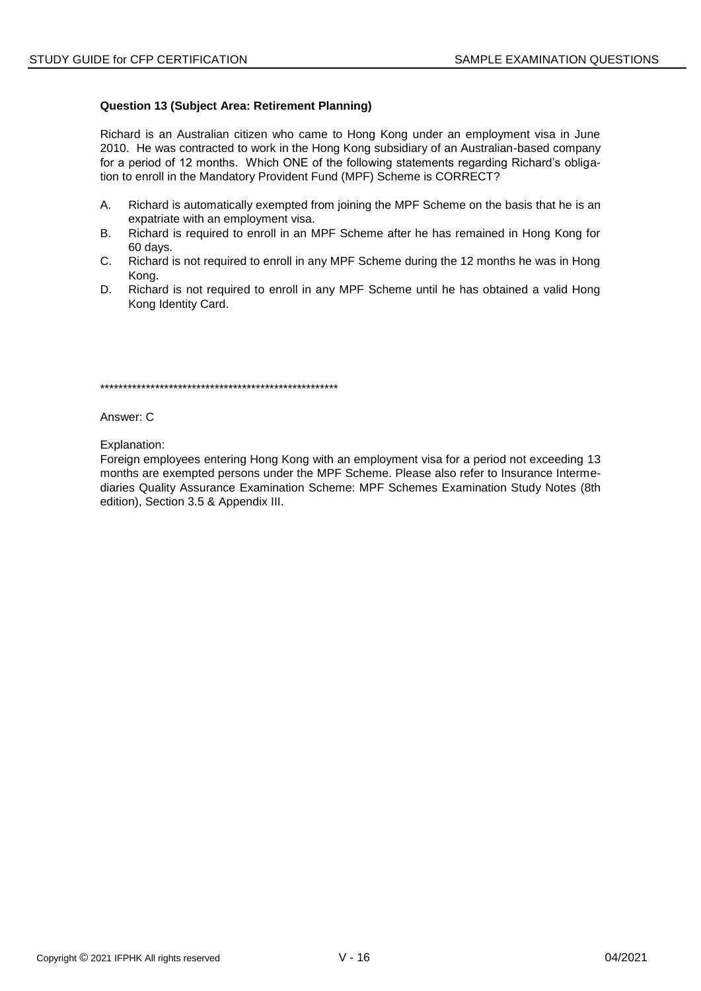# **Question 13 (Subject Area: Retirement Planning)**

Richard is an Australian citizen who came to Hong Kong under an employment visa in June 2010. He was contracted to work in the Hong Kong subsidiary of an Australian-based company for a period of 12 months. Which ONE of the following statements regarding Richard's obligation to enroll in the Mandatory Provident Fund (MPF) Scheme is CORRECT?

- A. Richard is automatically exempted from joining the MPF Scheme on the basis that he is an expatriate with an employment visa.
- **B.** Richard is required to enroll in an MPF Scheme after he has remained in Hong Kong for 60 days.
- C. Richard is not required to enroll in any MPF Scheme during the 12 months he was in Hong Kong.
- D. Richard is not required to enroll in any MPF Scheme until he has obtained a valid Hong Kong Identity Card.

Answer: C

Explanation:

Foreign employees entering Hong Kong with an employment visa for a period not exceeding 13 months are exempted persons under the MPF Scheme. Please also refer to Insurance Intermediaries Quality Assurance Examination Scheme: MPF Schemes Examination Study Notes (8th edition), Section 3.5 & Appendix III.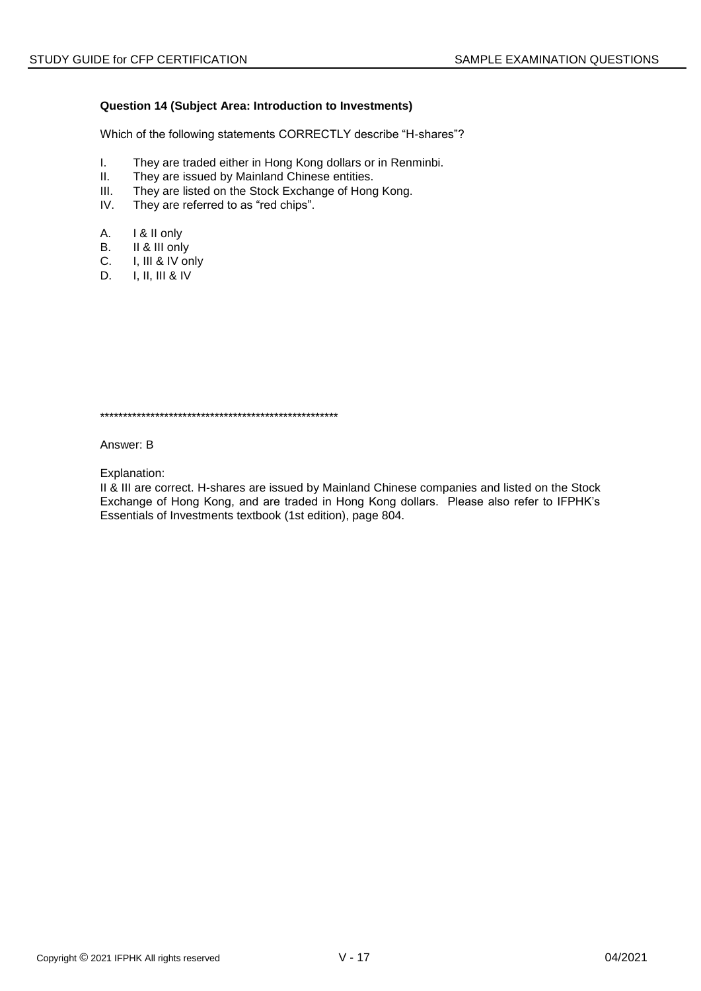# Question 14 (Subject Area: Introduction to Investments)

Which of the following statements CORRECTLY describe "H-shares"?

- They are traded either in Hong Kong dollars or in Renminbi.  $\mathbf{L}$
- $II.$ They are issued by Mainland Chinese entities.
- $III.$ They are listed on the Stock Exchange of Hong Kong.
- IV. They are referred to as "red chips".
- A. I & II only
- II & III only В.
- $C.$ I, III & IV only
- D.  $I, II, III & IV$

Answer: B

Explanation:

II & III are correct. H-shares are issued by Mainland Chinese companies and listed on the Stock Exchange of Hong Kong, and are traded in Hong Kong dollars. Please also refer to IFPHK's Essentials of Investments textbook (1st edition), page 804.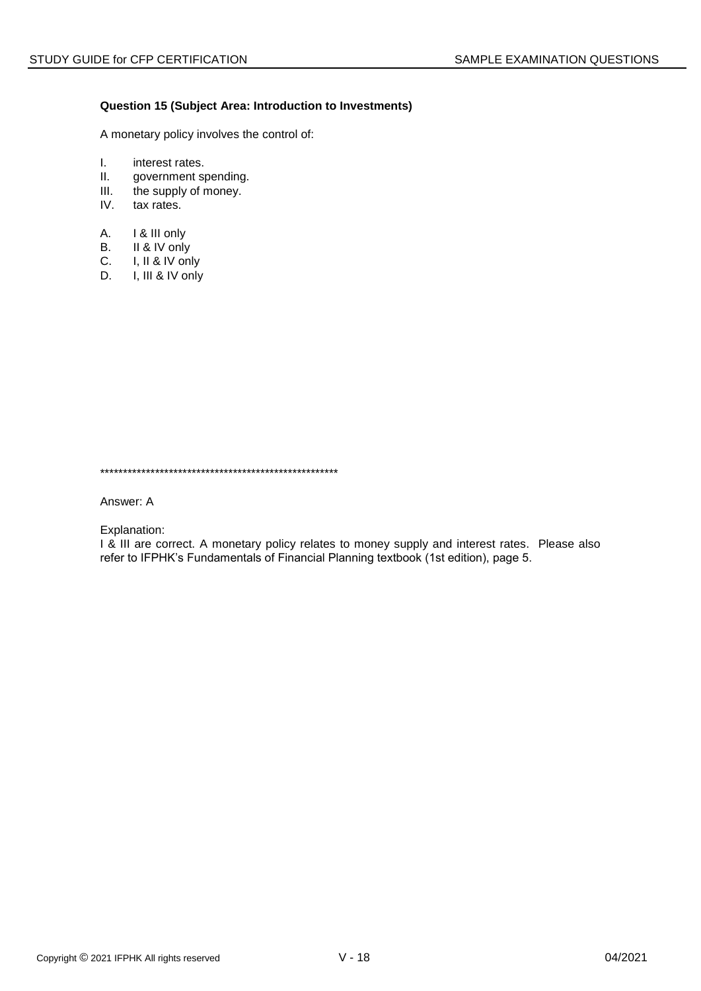# **Question 15 (Subject Area: Introduction to Investments)**

A monetary policy involves the control of:

- I. interest rates.<br>II. government sp
- II. government spending.<br>III. the supply of money.
- the supply of money.
- IV. tax rates.
- A. I & III only
- B. II & IV only
- C. I, II & IV only<br>D. I, III & IV only
- I, III & IV only

\*\*\*\*\*\*\*\*\*\*\*\*\*\*\*\*\*\*\*\*\*\*\*\*\*\*\*\*\*\*\*\*\*\*\*\*\*\*\*\*\*\*\*\*\*\*\*\*\*\*\*\*

Answer: A

Explanation:

I & III are correct. A monetary policy relates to money supply and interest rates. Please also refer to IFPHK's Fundamentals of Financial Planning textbook (1st edition), page 5.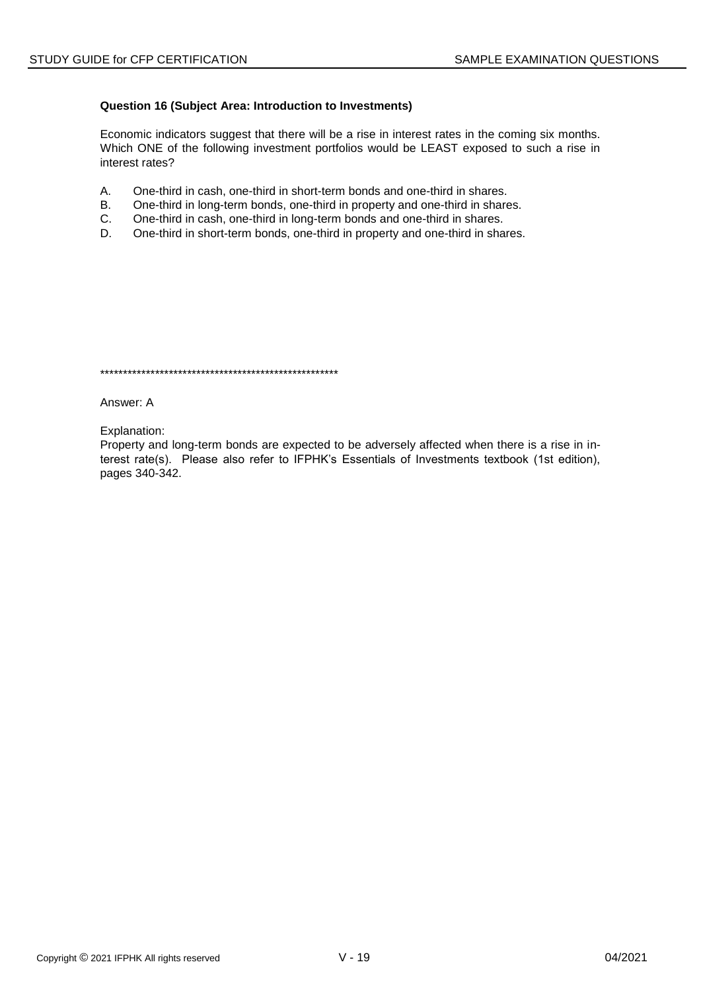# **Question 16 (Subject Area: Introduction to Investments)**

Economic indicators suggest that there will be a rise in interest rates in the coming six months. Which ONE of the following investment portfolios would be LEAST exposed to such a rise in interest rates?

- A. One-third in cash, one-third in short-term bonds and one-third in shares.
- B. One-third in long-term bonds, one-third in property and one-third in shares.
- C. One-third in cash, one-third in long-term bonds and one-third in shares.
- D. One-third in short-term bonds, one-third in property and one-third in shares.

\*\*\*\*\*\*\*\*\*\*\*\*\*\*\*\*\*\*\*\*\*\*\*\*\*\*\*\*\*\*\*\*\*\*\*\*\*\*\*\*\*\*\*\*\*\*\*\*\*\*\*\*

Answer: A

Explanation:

Property and long-term bonds are expected to be adversely affected when there is a rise in interest rate(s). Please also refer to IFPHK's Essentials of Investments textbook (1st edition), pages 340-342.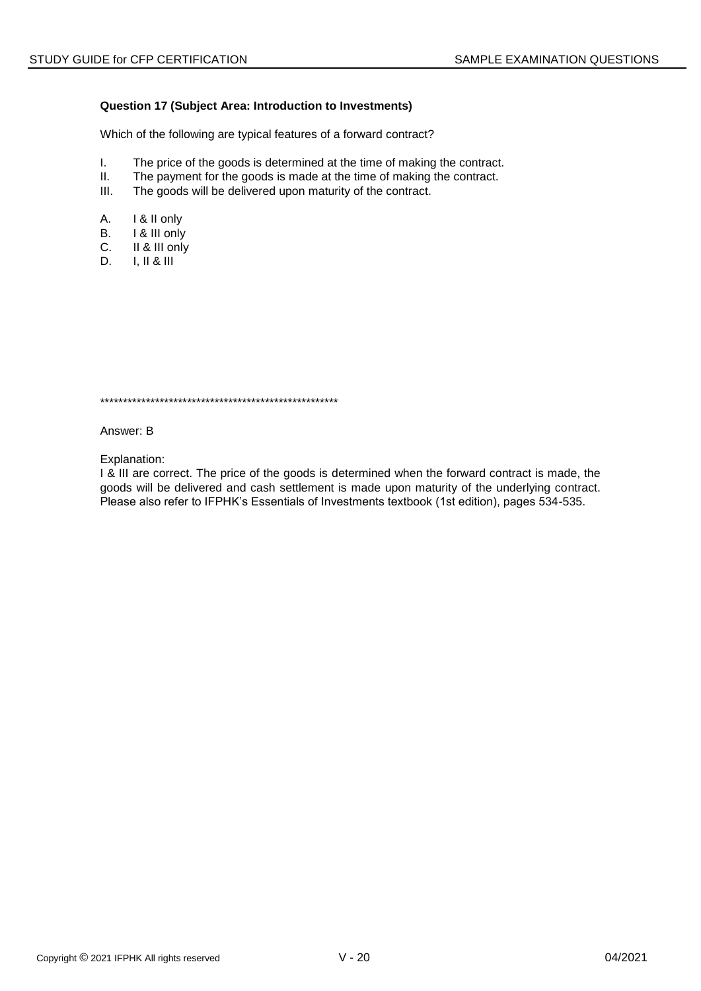# Question 17 (Subject Area: Introduction to Investments)

Which of the following are typical features of a forward contract?

- $\mathbf{L}$ The price of the goods is determined at the time of making the contract.
- $II.$ The payment for the goods is made at the time of making the contract.
- $III.$ The goods will be delivered upon maturity of the contract.
- A. I & II only
- **B.** I & III only
- $C_{1}$ II & III only
- D.  $I, II & II$

Answer: B

Explanation:

I & III are correct. The price of the goods is determined when the forward contract is made, the goods will be delivered and cash settlement is made upon maturity of the underlying contract. Please also refer to IFPHK's Essentials of Investments textbook (1st edition), pages 534-535.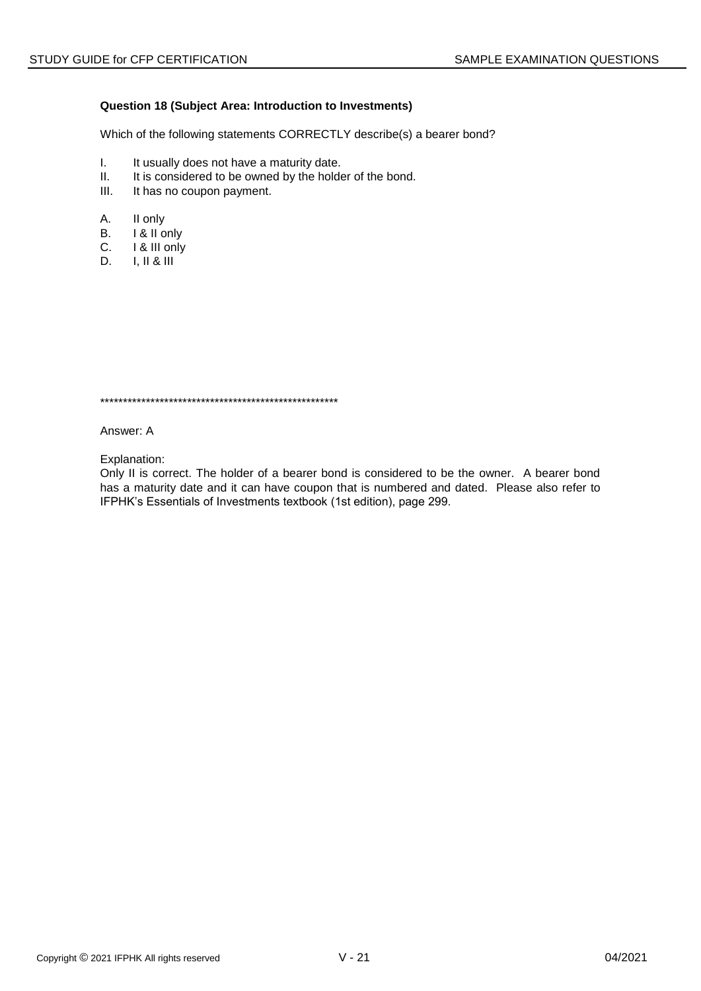# **Question 18 (Subject Area: Introduction to Investments)**

Which of the following statements CORRECTLY describe(s) a bearer bond?

- I. It usually does not have a maturity date.<br>II. It is considered to be owned by the holde
- It is considered to be owned by the holder of the bond.
- III. It has no coupon payment.
- A. II only
- B. I & II only
- C. I & III only
- D. I, II & III

\*\*\*\*\*\*\*\*\*\*\*\*\*\*\*\*\*\*\*\*\*\*\*\*\*\*\*\*\*\*\*\*\*\*\*\*\*\*\*\*\*\*\*\*\*\*\*\*\*\*\*\*

Answer: A

Explanation:

Only II is correct. The holder of a bearer bond is considered to be the owner. A bearer bond has a maturity date and it can have coupon that is numbered and dated. Please also refer to IFPHK's Essentials of Investments textbook (1st edition), page 299.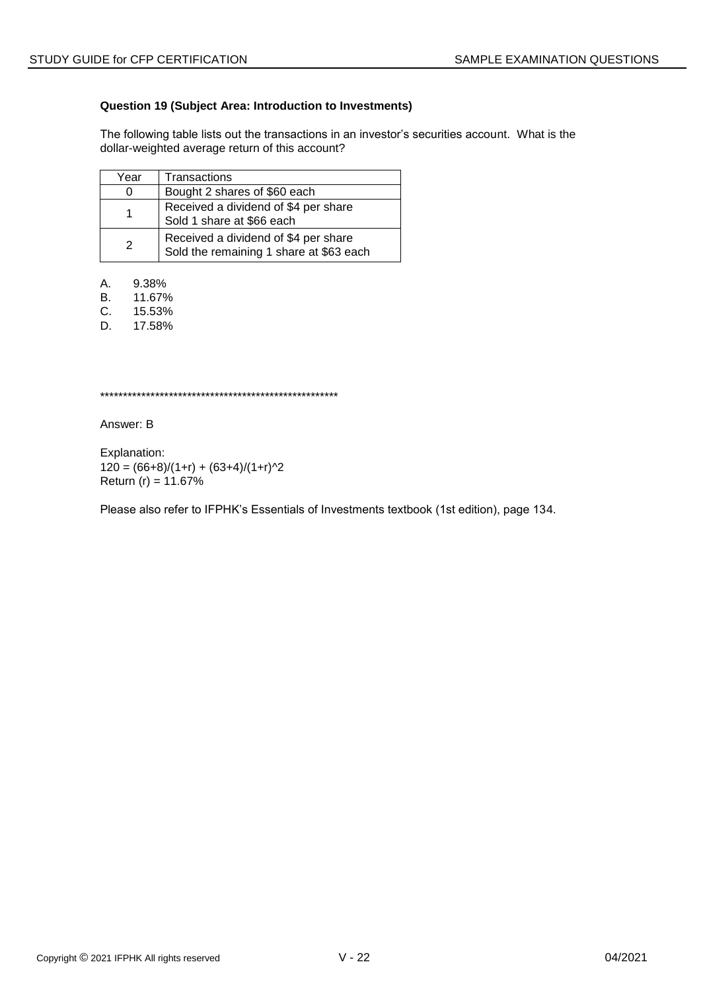# **Question 19 (Subject Area: Introduction to Investments)**

The following table lists out the transactions in an investor's securities account. What is the dollar-weighted average return of this account?

| Year          | Transactions                                                                    |
|---------------|---------------------------------------------------------------------------------|
| 0             | Bought 2 shares of \$60 each                                                    |
|               | Received a dividend of \$4 per share<br>Sold 1 share at \$66 each               |
| $\mathcal{P}$ | Received a dividend of \$4 per share<br>Sold the remaining 1 share at \$63 each |

A. 9.38%

B. 11.67%<br>C. 15.53%

C. 15.53%

D. 17.58%

\*\*\*\*\*\*\*\*\*\*\*\*\*\*\*\*\*\*\*\*\*\*\*\*\*\*\*\*\*\*\*\*\*\*\*\*\*\*\*\*\*\*\*\*\*\*\*\*\*\*\*\*

Answer: B

Explanation:  $120 = (66+8)/(1+r) + (63+4)/(1+r)^{2}$ Return  $(r) = 11.67%$ 

Please also refer to IFPHK's Essentials of Investments textbook (1st edition), page 134.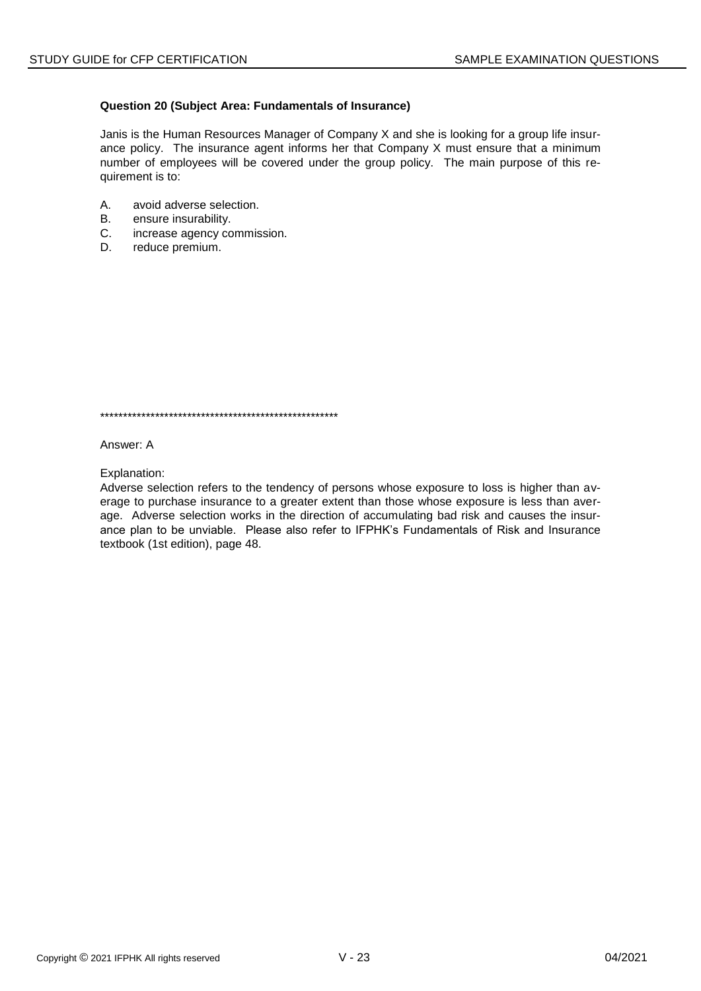# Question 20 (Subject Area: Fundamentals of Insurance)

Janis is the Human Resources Manager of Company X and she is looking for a group life insurance policy. The insurance agent informs her that Company X must ensure that a minimum number of employees will be covered under the group policy. The main purpose of this requirement is to:

- A. avoid adverse selection.
- **B.** ensure insurability.
- $C_{1}$ increase agency commission.
- D. reduce premium.

Answer: A

Explanation:

Adverse selection refers to the tendency of persons whose exposure to loss is higher than average to purchase insurance to a greater extent than those whose exposure is less than average. Adverse selection works in the direction of accumulating bad risk and causes the insurance plan to be unviable. Please also refer to IFPHK's Fundamentals of Risk and Insurance textbook (1st edition), page 48.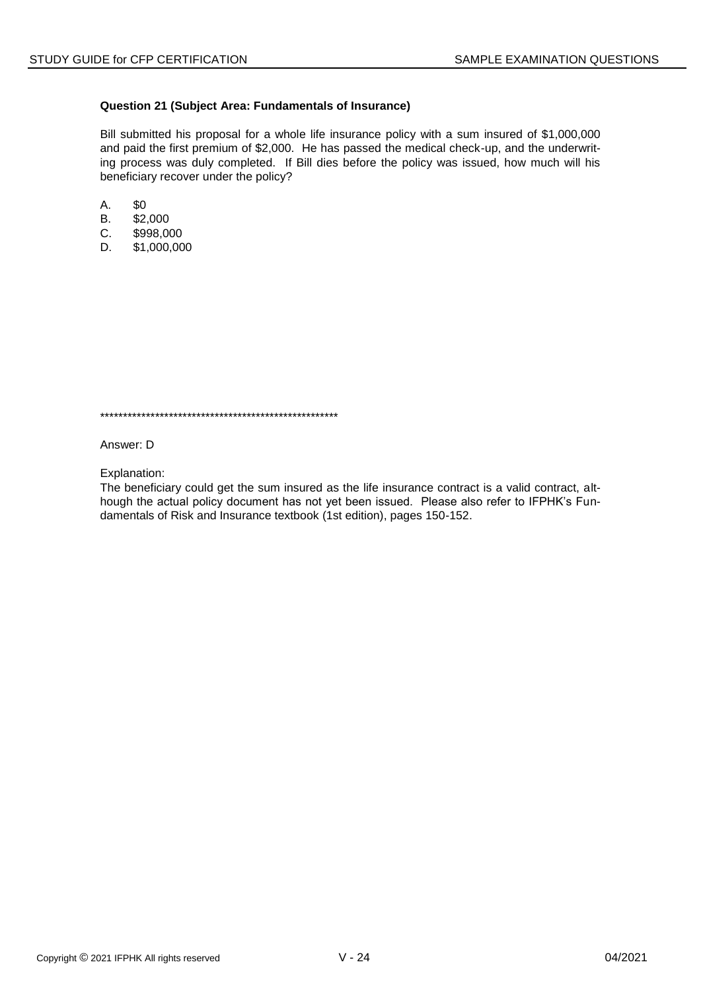# Question 21 (Subject Area: Fundamentals of Insurance)

Bill submitted his proposal for a whole life insurance policy with a sum insured of \$1,000,000 and paid the first premium of \$2,000. He has passed the medical check-up, and the underwriting process was duly completed. If Bill dies before the policy was issued, how much will his beneficiary recover under the policy?

- A. \$0
- \$2,000 **B.**
- $C_{1}$ \$998,000
- D. \$1,000,000

Answer: D

Explanation:

The beneficiary could get the sum insured as the life insurance contract is a valid contract, although the actual policy document has not yet been issued. Please also refer to IFPHK's Fundamentals of Risk and Insurance textbook (1st edition), pages 150-152.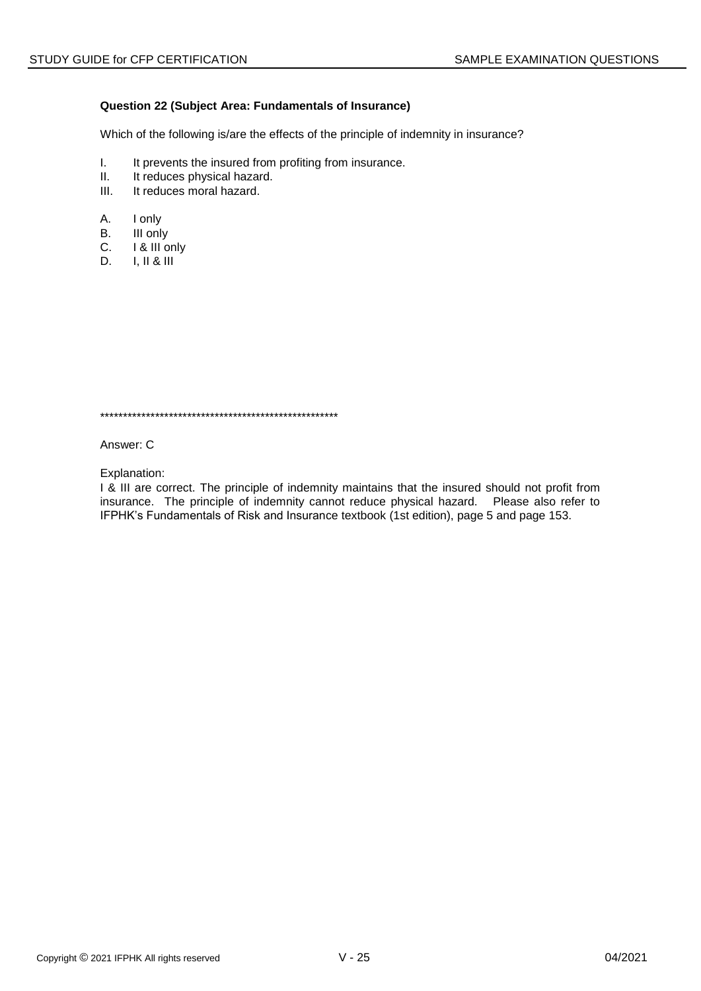# Question 22 (Subject Area: Fundamentals of Insurance)

Which of the following is/are the effects of the principle of indemnity in insurance?

- $\mathbf{L}$ It prevents the insured from profiting from insurance.
- $II.$ It reduces physical hazard.
- It reduces moral hazard.  $III.$
- A. I only
- **B.** III only
- $C_{1}$ I & III only
- D.  $I, II & III$

Answer: C

Explanation:

I & III are correct. The principle of indemnity maintains that the insured should not profit from insurance. The principle of indemnity cannot reduce physical hazard. Please also refer to IFPHK's Fundamentals of Risk and Insurance textbook (1st edition), page 5 and page 153.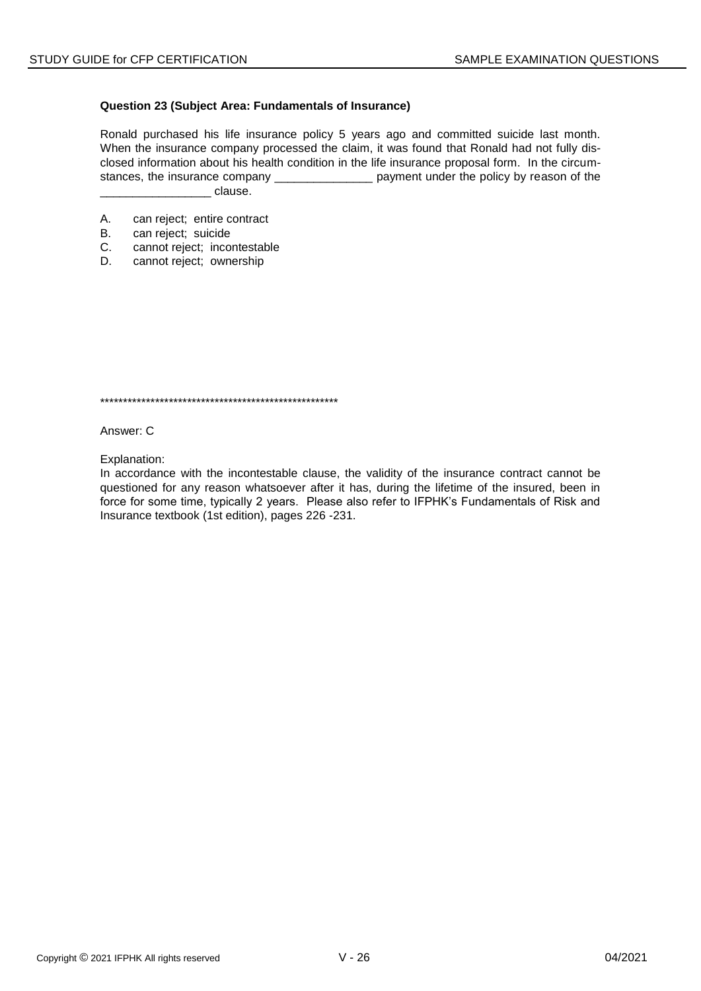# **Question 23 (Subject Area: Fundamentals of Insurance)**

Ronald purchased his life insurance policy 5 years ago and committed suicide last month. When the insurance company processed the claim, it was found that Ronald had not fully disclosed information about his health condition in the life insurance proposal form. In the circumstances, the insurance company \_\_\_\_\_\_\_\_\_\_\_\_\_\_\_\_\_\_\_\_\_ payment under the policy by reason of the dause.

- A. can reject; entire contract
- B. can reject; suicide
- C. cannot reject; incontestable
- D. cannot reject; ownership

\*\*\*\*\*\*\*\*\*\*\*\*\*\*\*\*\*\*\*\*\*\*\*\*\*\*\*\*\*\*\*\*\*\*\*\*\*\*\*\*\*\*\*\*\*\*\*\*\*\*\*\*

Answer: C

Explanation:

In accordance with the incontestable clause, the validity of the insurance contract cannot be questioned for any reason whatsoever after it has, during the lifetime of the insured, been in force for some time, typically 2 years. Please also refer to IFPHK's Fundamentals of Risk and Insurance textbook (1st edition), pages 226 -231.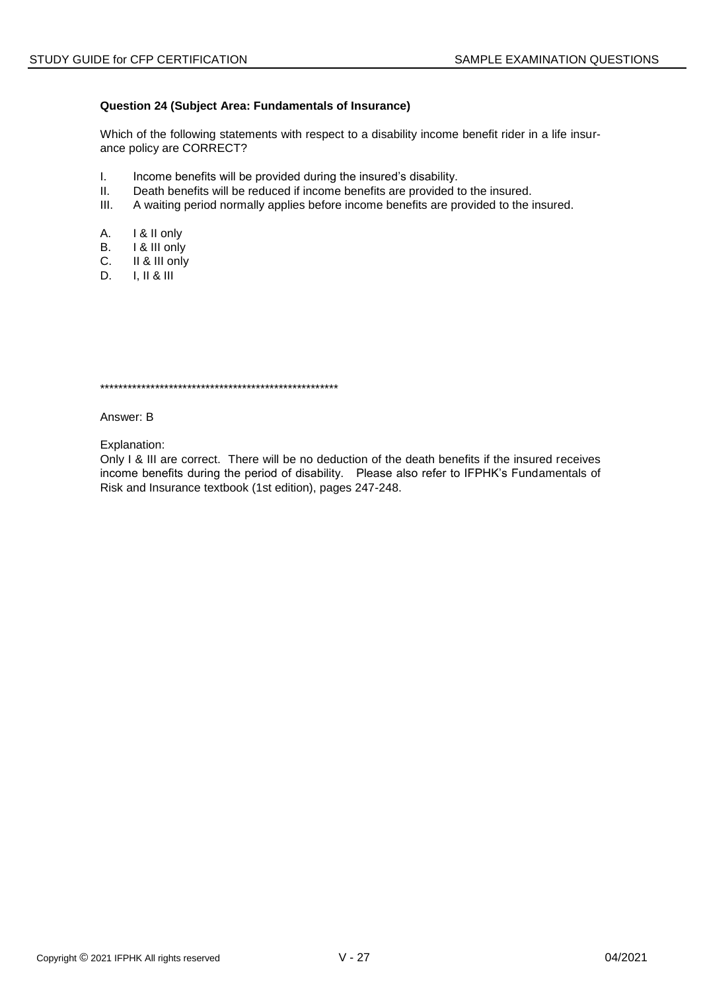# Question 24 (Subject Area: Fundamentals of Insurance)

Which of the following statements with respect to a disability income benefit rider in a life insurance policy are CORRECT?

- $\mathbf{L}$ Income benefits will be provided during the insured's disability.
- $II.$ Death benefits will be reduced if income benefits are provided to the insured.
- $III.$ A waiting period normally applies before income benefits are provided to the insured.
- А. I & II only
- В. I & III only
- $C_{1}$ II & III only
- D.  $I, II & II$

Answer: B

Explanation:

Only I & III are correct. There will be no deduction of the death benefits if the insured receives income benefits during the period of disability. Please also refer to IFPHK's Fundamentals of Risk and Insurance textbook (1st edition), pages 247-248.